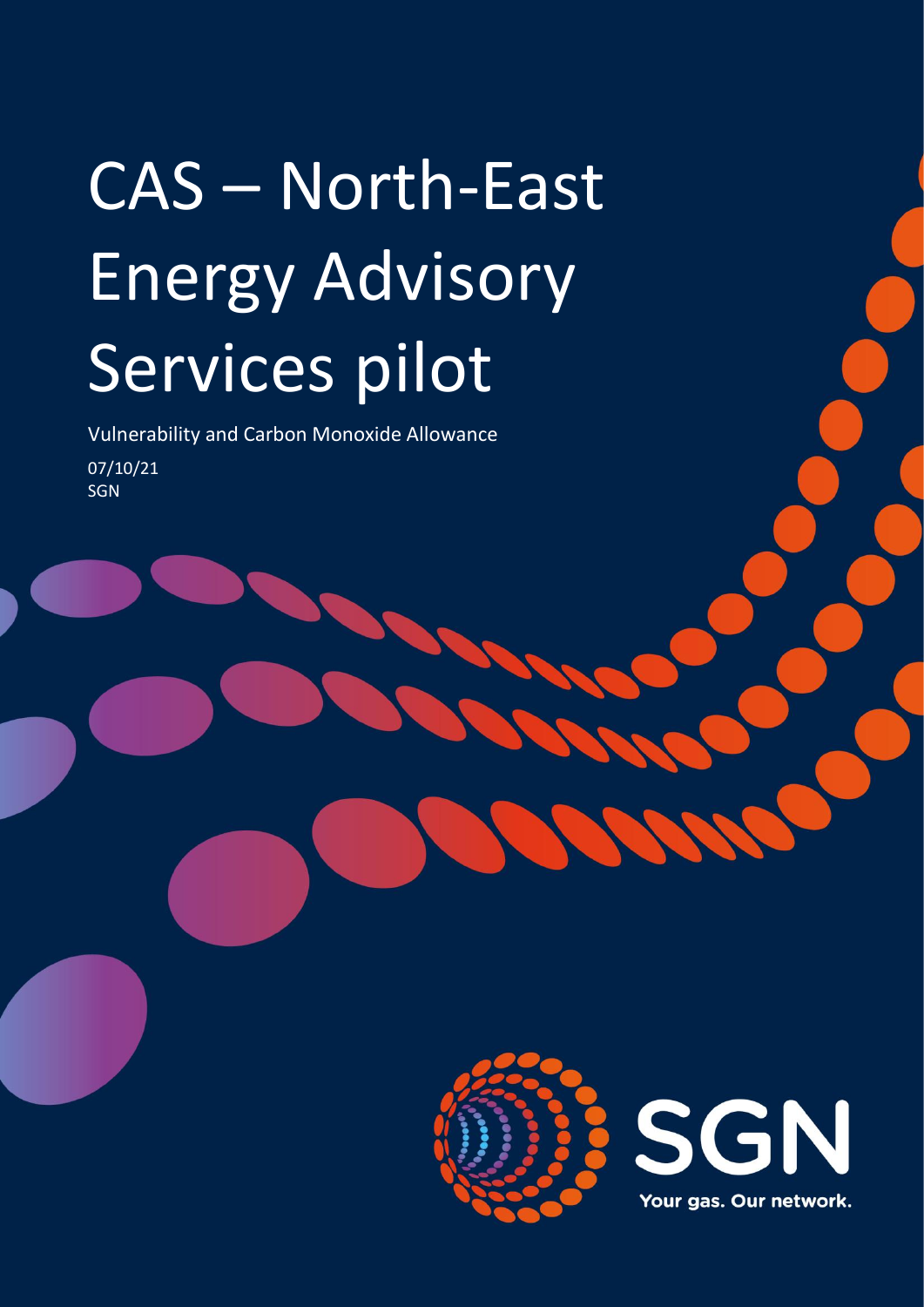# CAS – North-East Energy Advisory Services pilot

Vulnerability and Carbon Monoxide Allowance 07/10/21 SGN

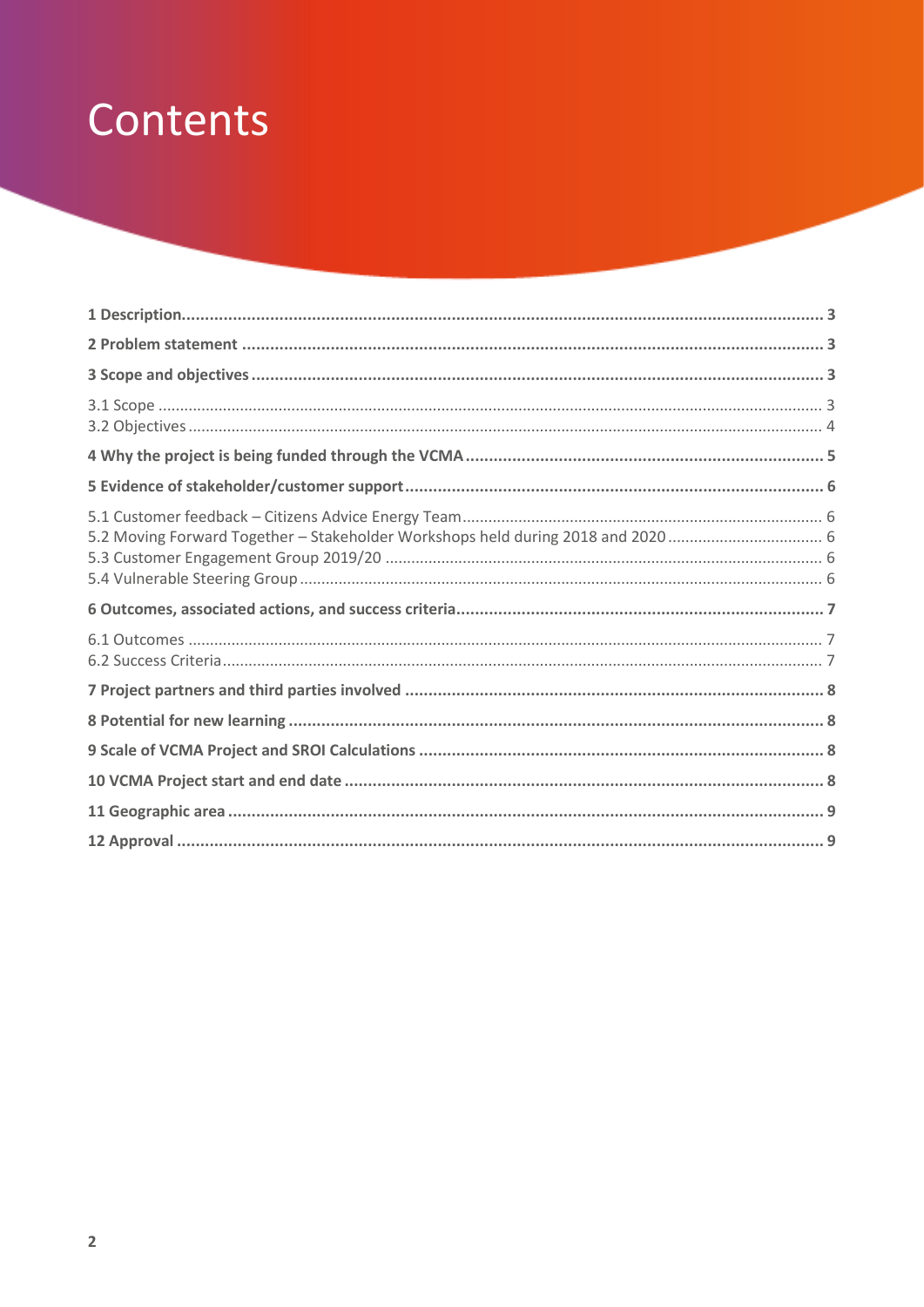# Contents

| 5.2 Moving Forward Together - Stakeholder Workshops held during 2018 and 2020 |  |
|-------------------------------------------------------------------------------|--|
|                                                                               |  |
|                                                                               |  |
|                                                                               |  |
|                                                                               |  |
|                                                                               |  |
|                                                                               |  |
|                                                                               |  |
|                                                                               |  |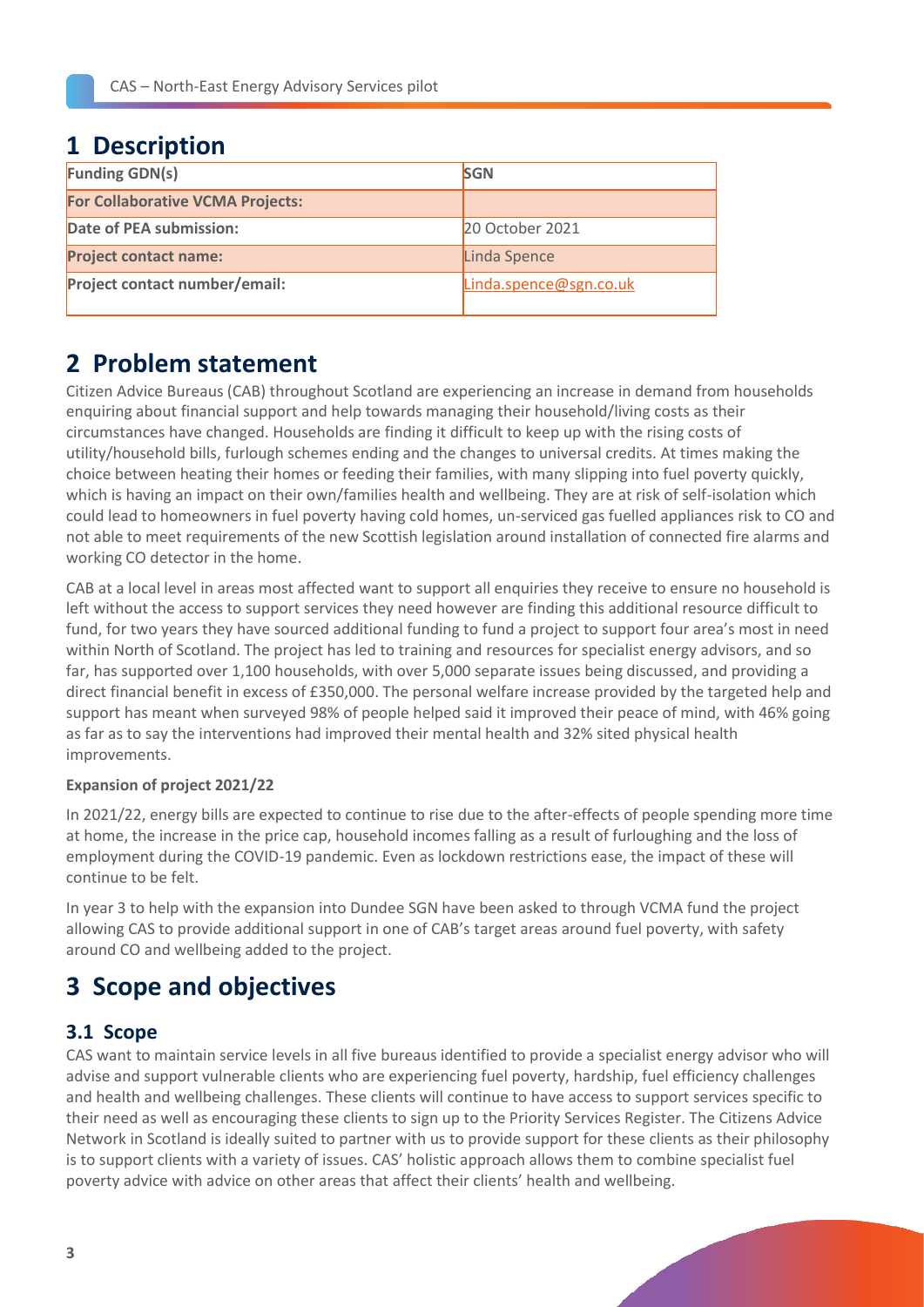# <span id="page-2-0"></span>**1 Description**

| <b>Funding GDN(s)</b>                   | <b>SGN</b>             |  |
|-----------------------------------------|------------------------|--|
| <b>For Collaborative VCMA Projects:</b> |                        |  |
| <b>Date of PEA submission:</b>          | 20 October 2021        |  |
| <b>Project contact name:</b>            | Linda Spence           |  |
| Project contact number/email:           | Linda.spence@sgn.co.uk |  |

# <span id="page-2-1"></span>**2 Problem statement**

Citizen Advice Bureaus (CAB) throughout Scotland are experiencing an increase in demand from households enquiring about financial support and help towards managing their household/living costs as their circumstances have changed. Households are finding it difficult to keep up with the rising costs of utility/household bills, furlough schemes ending and the changes to universal credits. At times making the choice between heating their homes or feeding their families, with many slipping into fuel poverty quickly, which is having an impact on their own/families health and wellbeing. They are at risk of self-isolation which could lead to homeowners in fuel poverty having cold homes, un-serviced gas fuelled appliances risk to CO and not able to meet requirements of the new Scottish legislation around installation of connected fire alarms and working CO detector in the home.

CAB at a local level in areas most affected want to support all enquiries they receive to ensure no household is left without the access to support services they need however are finding this additional resource difficult to fund, for two years they have sourced additional funding to fund a project to support four area's most in need within North of Scotland. The project has led to training and resources for specialist energy advisors, and so far, has supported over 1,100 households, with over 5,000 separate issues being discussed, and providing a direct financial benefit in excess of £350,000. The personal welfare increase provided by the targeted help and support has meant when surveyed 98% of people helped said it improved their peace of mind, with 46% going as far as to say the interventions had improved their mental health and 32% sited physical health improvements.

#### **Expansion of project 2021/22**

In 2021/22, energy bills are expected to continue to rise due to the after-effects of people spending more time at home, the increase in the price cap, household incomes falling as a result of furloughing and the loss of employment during the COVID-19 pandemic. Even as lockdown restrictions ease, the impact of these will continue to be felt.

In year 3 to help with the expansion into Dundee SGN have been asked to through VCMA fund the project allowing CAS to provide additional support in one of CAB's target areas around fuel poverty, with safety around CO and wellbeing added to the project.

# <span id="page-2-2"></span>**3 Scope and objectives**

#### <span id="page-2-3"></span>**3.1 Scope**

CAS want to maintain service levels in all five bureaus identified to provide a specialist energy advisor who will advise and support vulnerable clients who are experiencing fuel poverty, hardship, fuel efficiency challenges and health and wellbeing challenges. These clients will continue to have access to support services specific to their need as well as encouraging these clients to sign up to the Priority Services Register. The Citizens Advice Network in Scotland is ideally suited to partner with us to provide support for these clients as their philosophy is to support clients with a variety of issues. CAS' holistic approach allows them to combine specialist fuel poverty advice with advice on other areas that affect their clients' health and wellbeing.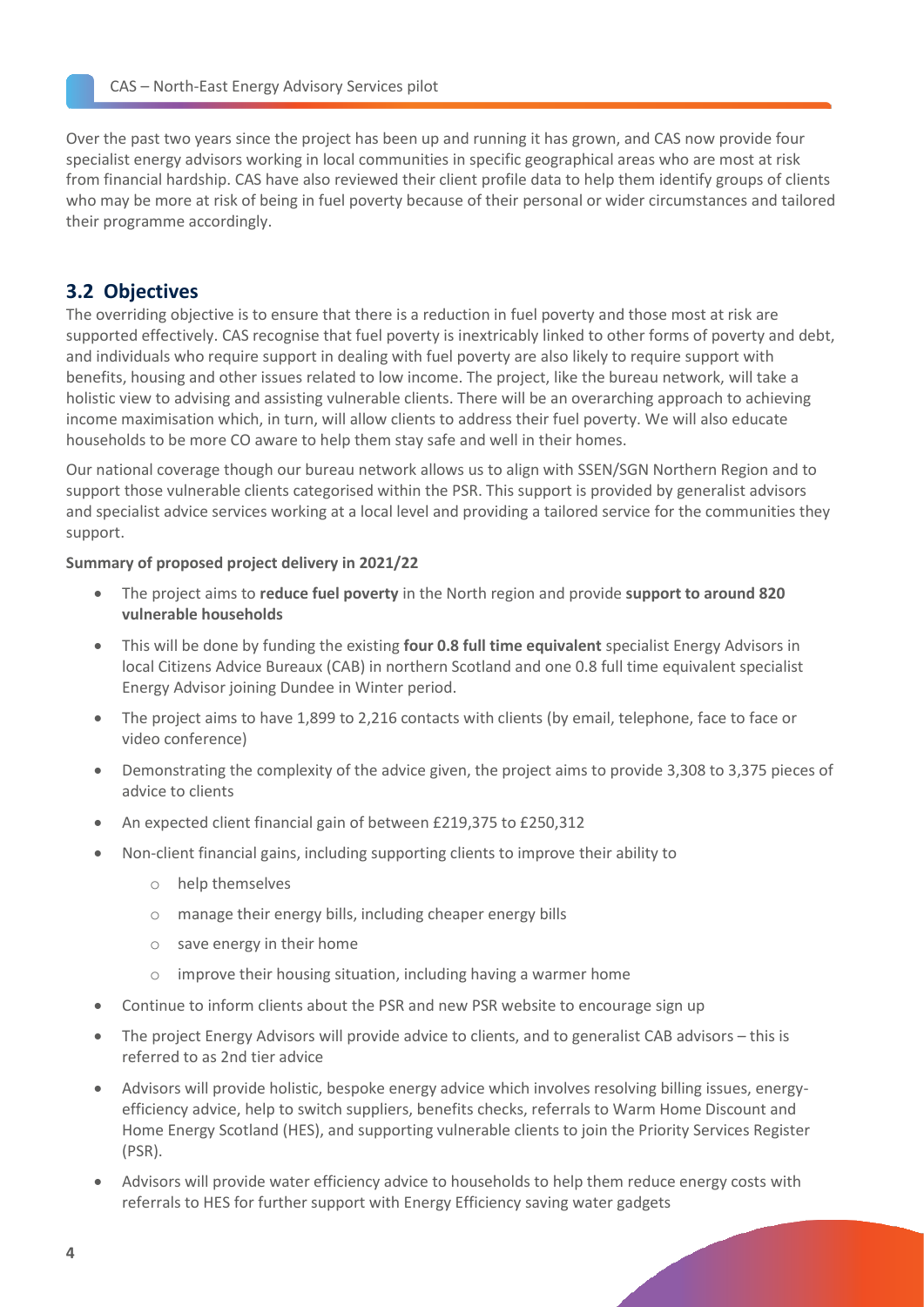Over the past two years since the project has been up and running it has grown, and CAS now provide four specialist energy advisors working in local communities in specific geographical areas who are most at risk from financial hardship. CAS have also reviewed their client profile data to help them identify groups of clients who may be more at risk of being in fuel poverty because of their personal or wider circumstances and tailored their programme accordingly.

#### <span id="page-3-0"></span>**3.2 Objectives**

The overriding objective is to ensure that there is a reduction in fuel poverty and those most at risk are supported effectively. CAS recognise that fuel poverty is inextricably linked to other forms of poverty and debt, and individuals who require support in dealing with fuel poverty are also likely to require support with benefits, housing and other issues related to low income. The project, like the bureau network, will take a holistic view to advising and assisting vulnerable clients. There will be an overarching approach to achieving income maximisation which, in turn, will allow clients to address their fuel poverty. We will also educate households to be more CO aware to help them stay safe and well in their homes.

Our national coverage though our bureau network allows us to align with SSEN/SGN Northern Region and to support those vulnerable clients categorised within the PSR. This support is provided by generalist advisors and specialist advice services working at a local level and providing a tailored service for the communities they support.

#### **Summary of proposed project delivery in 2021/22**

- The project aims to **reduce fuel poverty** in the North region and provide **support to around 820 vulnerable households**
- This will be done by funding the existing **four 0.8 full time equivalent** specialist Energy Advisors in local Citizens Advice Bureaux (CAB) in northern Scotland and one 0.8 full time equivalent specialist Energy Advisor joining Dundee in Winter period.
- The project aims to have 1,899 to 2,216 contacts with clients (by email, telephone, face to face or video conference)
- Demonstrating the complexity of the advice given, the project aims to provide 3,308 to 3,375 pieces of advice to clients
- An expected client financial gain of between £219,375 to £250,312
- Non-client financial gains, including supporting clients to improve their ability to
	- o help themselves
	- o manage their energy bills, including cheaper energy bills
	- o save energy in their home
	- o improve their housing situation, including having a warmer home
- Continue to inform clients about the PSR and new PSR website to encourage sign up
- The project Energy Advisors will provide advice to clients, and to generalist CAB advisors this is referred to as 2nd tier advice
- Advisors will provide holistic, bespoke energy advice which involves resolving billing issues, energyefficiency advice, help to switch suppliers, benefits checks, referrals to Warm Home Discount and Home Energy Scotland (HES), and supporting vulnerable clients to join the Priority Services Register (PSR).
- Advisors will provide water efficiency advice to households to help them reduce energy costs with referrals to HES for further support with Energy Efficiency saving water gadgets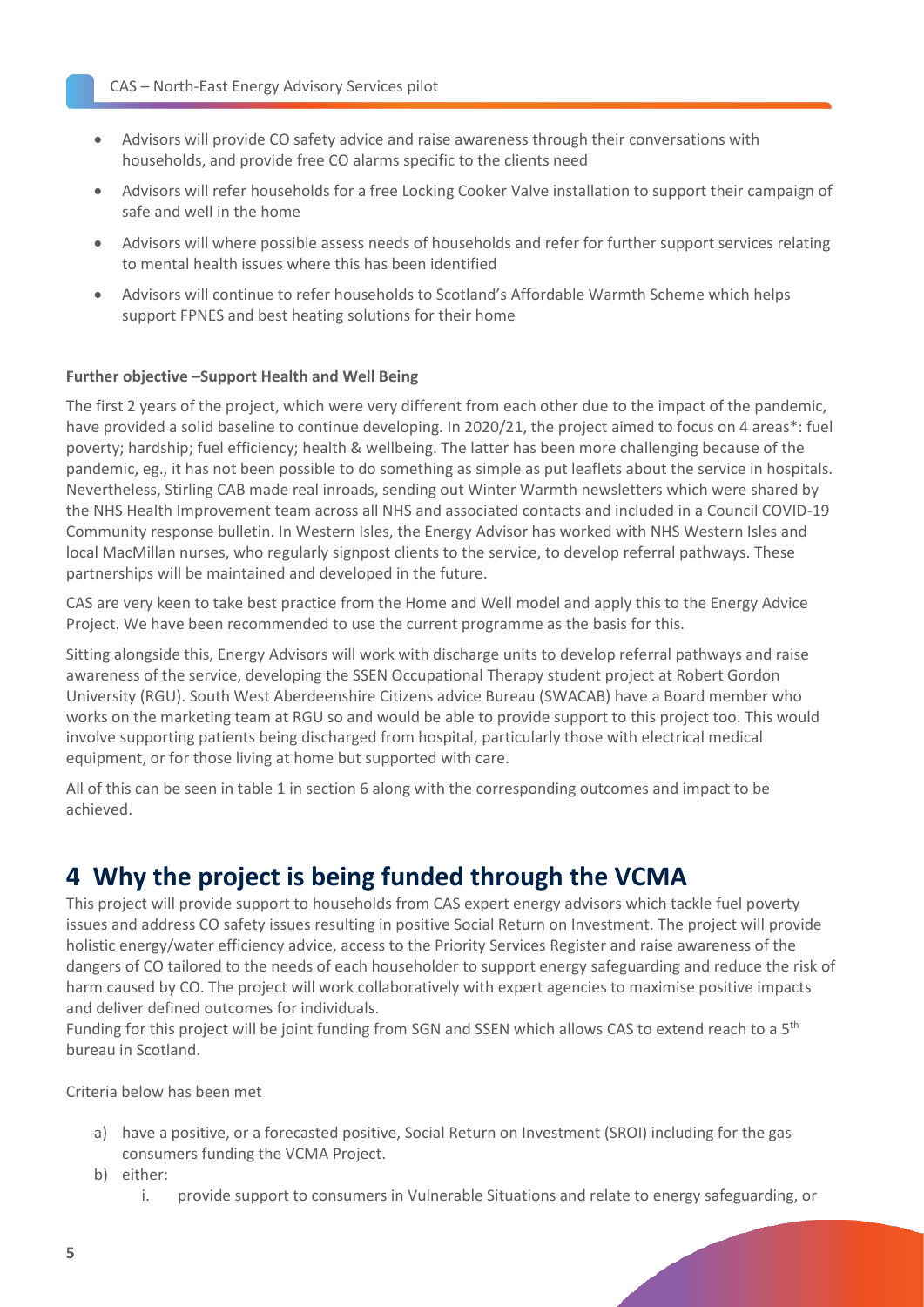- Advisors will provide CO safety advice and raise awareness through their conversations with households, and provide free CO alarms specific to the clients need
- Advisors will refer households for a free Locking Cooker Valve installation to support their campaign of safe and well in the home
- Advisors will where possible assess needs of households and refer for further support services relating to mental health issues where this has been identified
- Advisors will continue to refer households to Scotland's Affordable Warmth Scheme which helps support FPNES and best heating solutions for their home

#### **Further objective –Support Health and Well Being**

The first 2 years of the project, which were very different from each other due to the impact of the pandemic, have provided a solid baseline to continue developing. In 2020/21, the project aimed to focus on 4 areas\*: fuel poverty; hardship; fuel efficiency; health & wellbeing. The latter has been more challenging because of the pandemic, eg., it has not been possible to do something as simple as put leaflets about the service in hospitals. Nevertheless, Stirling CAB made real inroads, sending out Winter Warmth newsletters which were shared by the NHS Health Improvement team across all NHS and associated contacts and included in a Council COVID-19 Community response bulletin. In Western Isles, the Energy Advisor has worked with NHS Western Isles and local MacMillan nurses, who regularly signpost clients to the service, to develop referral pathways. These partnerships will be maintained and developed in the future.

CAS are very keen to take best practice from the Home and Well model and apply this to the Energy Advice Project. We have been recommended to use the current programme as the basis for this.

Sitting alongside this, Energy Advisors will work with discharge units to develop referral pathways and raise awareness of the service, developing the SSEN Occupational Therapy student project at Robert Gordon University (RGU). South West Aberdeenshire Citizens advice Bureau (SWACAB) have a Board member who works on the marketing team at RGU so and would be able to provide support to this project too. This would involve supporting patients being discharged from hospital, particularly those with electrical medical equipment, or for those living at home but supported with care.

All of this can be seen in table 1 in section 6 along with the corresponding outcomes and impact to be achieved.

# <span id="page-4-0"></span>**4 Why the project is being funded through the VCMA**

This project will provide support to households from CAS expert energy advisors which tackle fuel poverty issues and address CO safety issues resulting in positive Social Return on Investment. The project will provide holistic energy/water efficiency advice, access to the Priority Services Register and raise awareness of the dangers of CO tailored to the needs of each householder to support energy safeguarding and reduce the risk of harm caused by CO. The project will work collaboratively with expert agencies to maximise positive impacts and deliver defined outcomes for individuals.

Funding for this project will be joint funding from SGN and SSEN which allows CAS to extend reach to a 5th bureau in Scotland.

Criteria below has been met

- a) have a positive, or a forecasted positive, Social Return on Investment (SROI) including for the gas consumers funding the VCMA Project.
- b) either:
	- i. provide support to consumers in Vulnerable Situations and relate to energy safeguarding, or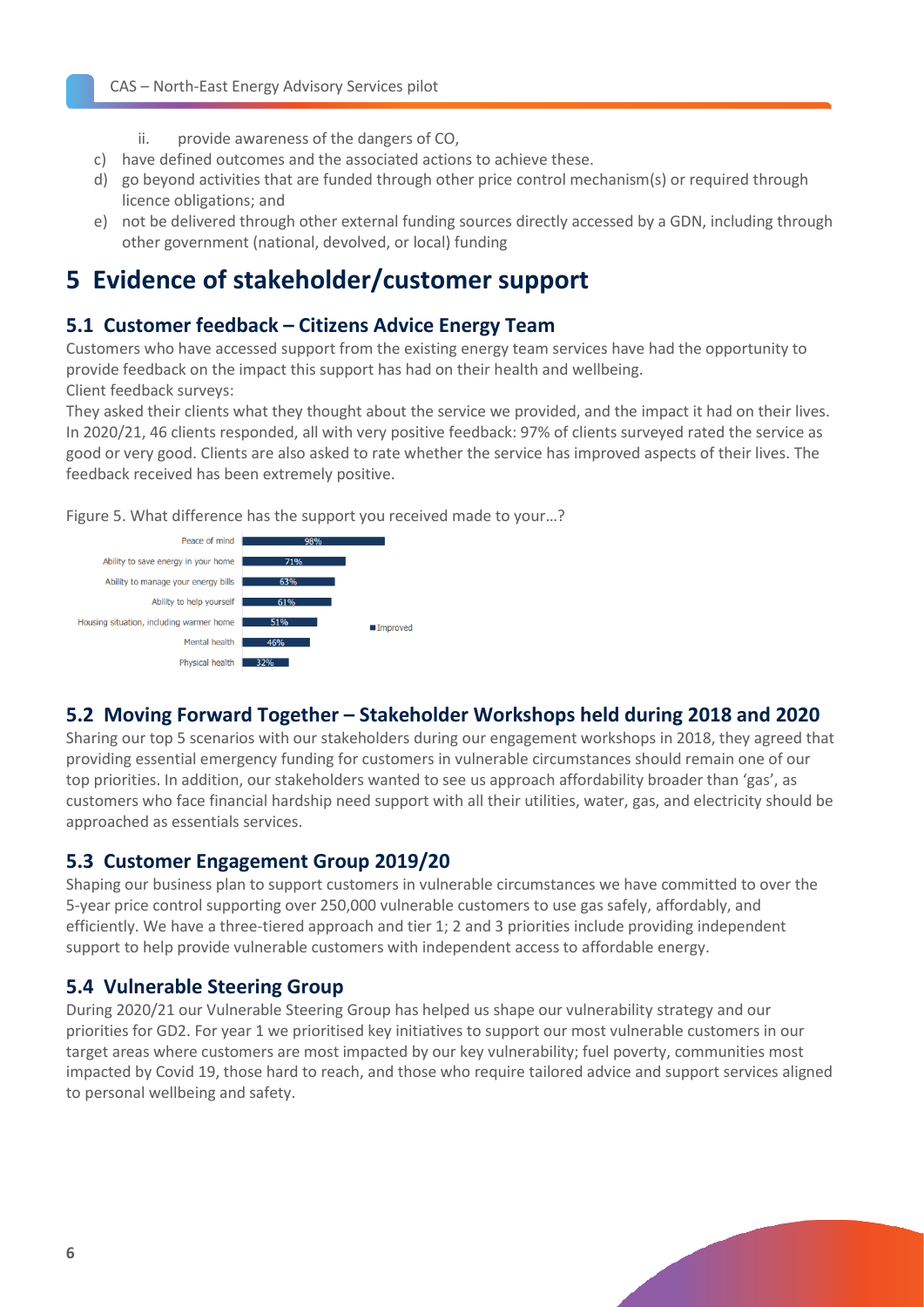- ii. provide awareness of the dangers of CO,
- c) have defined outcomes and the associated actions to achieve these.
- d) go beyond activities that are funded through other price control mechanism(s) or required through licence obligations; and
- e) not be delivered through other external funding sources directly accessed by a GDN, including through other government (national, devolved, or local) funding

# <span id="page-5-0"></span>**5 Evidence of stakeholder/customer support**

#### <span id="page-5-1"></span>**5.1 Customer feedback – Citizens Advice Energy Team**

Customers who have accessed support from the existing energy team services have had the opportunity to provide feedback on the impact this support has had on their health and wellbeing. Client feedback surveys:

They asked their clients what they thought about the service we provided, and the impact it had on their lives. In 2020/21, 46 clients responded, all with very positive feedback: 97% of clients surveyed rated the service as good or very good. Clients are also asked to rate whether the service has improved aspects of their lives. The feedback received has been extremely positive.

Figure 5. What difference has the support you received made to your…?



#### <span id="page-5-2"></span>**5.2 Moving Forward Together – Stakeholder Workshops held during 2018 and 2020**

Sharing our top 5 scenarios with our stakeholders during our engagement workshops in 2018, they agreed that providing essential emergency funding for customers in vulnerable circumstances should remain one of our top priorities. In addition, our stakeholders wanted to see us approach affordability broader than 'gas', as customers who face financial hardship need support with all their utilities, water, gas, and electricity should be approached as essentials services.

#### <span id="page-5-3"></span>**5.3 Customer Engagement Group 2019/20**

Shaping our business plan to support customers in vulnerable circumstances we have committed to over the 5-year price control supporting over 250,000 vulnerable customers to use gas safely, affordably, and efficiently. We have a three-tiered approach and tier 1; 2 and 3 priorities include providing independent support to help provide vulnerable customers with independent access to affordable energy.

#### <span id="page-5-4"></span>**5.4 Vulnerable Steering Group**

During 2020/21 our Vulnerable Steering Group has helped us shape our vulnerability strategy and our priorities for GD2. For year 1 we prioritised key initiatives to support our most vulnerable customers in our target areas where customers are most impacted by our key vulnerability; fuel poverty, communities most impacted by Covid 19, those hard to reach, and those who require tailored advice and support services aligned to personal wellbeing and safety.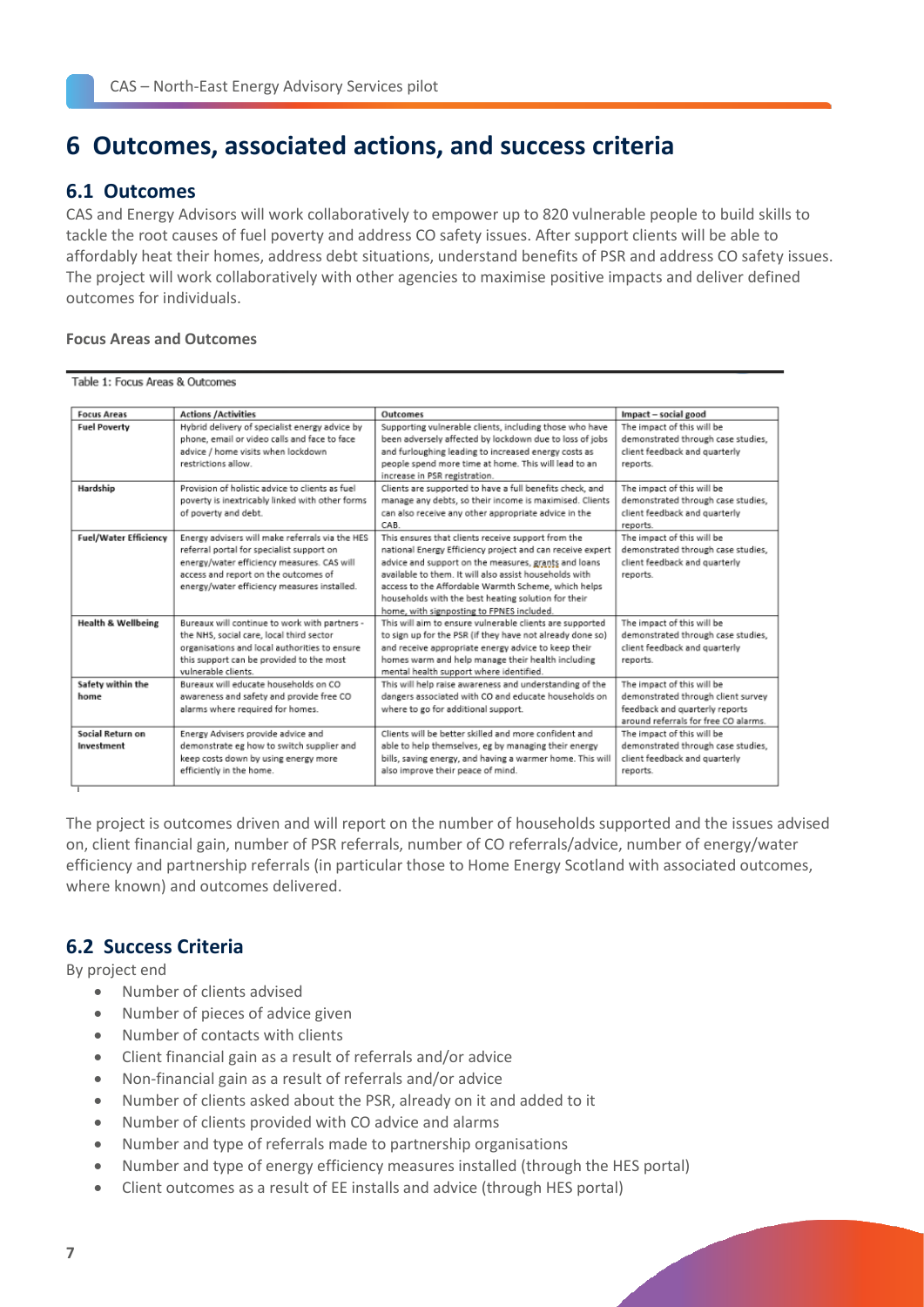# <span id="page-6-0"></span>**6 Outcomes, associated actions, and success criteria**

#### <span id="page-6-1"></span>**6.1 Outcomes**

CAS and Energy Advisors will work collaboratively to empower up to 820 vulnerable people to build skills to tackle the root causes of fuel poverty and address CO safety issues. After support clients will be able to affordably heat their homes, address debt situations, understand benefits of PSR and address CO safety issues. The project will work collaboratively with other agencies to maximise positive impacts and deliver defined outcomes for individuals.

#### **Focus Areas and Outcomes**

#### Table 1: Focus Areas & Outcomes

| <b>Focus Areas</b>            |                                                 | Outcomes                                                  |                                      |
|-------------------------------|-------------------------------------------------|-----------------------------------------------------------|--------------------------------------|
|                               | <b>Actions /Activities</b>                      |                                                           | Impact - social good                 |
| <b>Fuel Poverty</b>           | Hybrid delivery of specialist energy advice by  | Supporting vulnerable clients, including those who have   | The impact of this will be           |
|                               | phone, email or video calls and face to face    | been adversely affected by lockdown due to loss of jobs   | demonstrated through case studies,   |
|                               | advice / home visits when lockdown              | and furloughing leading to increased energy costs as      | client feedback and quarterly        |
|                               | restrictions allow.                             | people spend more time at home. This will lead to an      | reports.                             |
|                               |                                                 | increase in PSR registration.                             |                                      |
| Hardship                      | Provision of holistic advice to clients as fuel | Clients are supported to have a full benefits check, and  | The impact of this will be           |
|                               | poverty is inextricably linked with other forms | manage any debts, so their income is maximised. Clients   | demonstrated through case studies,   |
|                               | of poverty and debt.                            | can also receive any other appropriate advice in the      | client feedback and quarterly        |
|                               |                                                 | CAB.                                                      | reports.                             |
| <b>Fuel/Water Efficiency</b>  | Energy advisers will make referrals via the HES | This ensures that clients receive support from the        | The impact of this will be           |
|                               | referral portal for specialist support on       | national Energy Efficiency project and can receive expert | demonstrated through case studies,   |
|                               | energy/water efficiency measures. CAS will      | advice and support on the measures, grants and loans      | client feedback and quarterly        |
|                               | access and report on the outcomes of            | available to them. It will also assist households with    | reports.                             |
|                               | energy/water efficiency measures installed.     | access to the Affordable Warmth Scheme, which helps       |                                      |
|                               |                                                 | households with the best heating solution for their       |                                      |
|                               |                                                 | home, with signposting to FPNES included.                 |                                      |
| <b>Health &amp; Wellbeing</b> | Bureaux will continue to work with partners -   | This will aim to ensure vulnerable clients are supported  | The impact of this will be           |
|                               | the NHS, social care, local third sector        | to sign up for the PSR (if they have not already done so) | demonstrated through case studies.   |
|                               | organisations and local authorities to ensure   | and receive appropriate energy advice to keep their       | client feedback and quarterly        |
|                               | this support can be provided to the most        | homes warm and help manage their health including         | reports.                             |
|                               | vulnerable clients.                             | mental health support where identified.                   |                                      |
| Safety within the             | Bureaux will educate households on CO           | This will help raise awareness and understanding of the   | The impact of this will be           |
| home                          | awareness and safety and provide free CO        | dangers associated with CO and educate households on      | demonstrated through client survey   |
|                               | alarms where required for homes.                | where to go for additional support.                       | feedback and quarterly reports       |
|                               |                                                 |                                                           | around referrals for free CO alarms. |
| Social Return on              | Energy Advisers provide advice and              | Clients will be better skilled and more confident and     | The impact of this will be           |
| Investment                    | demonstrate eg how to switch supplier and       | able to help themselves, eg by managing their energy      | demonstrated through case studies,   |
|                               | keep costs down by using energy more            | bills, saving energy, and having a warmer home. This will | client feedback and quarterly        |
|                               | efficiently in the home.                        | also improve their peace of mind.                         | reports.                             |
|                               |                                                 |                                                           |                                      |

The project is outcomes driven and will report on the number of households supported and the issues advised on, client financial gain, number of PSR referrals, number of CO referrals/advice, number of energy/water efficiency and partnership referrals (in particular those to Home Energy Scotland with associated outcomes, where known) and outcomes delivered.

#### <span id="page-6-2"></span>**6.2 Success Criteria**

By project end

- Number of clients advised
- Number of pieces of advice given
- Number of contacts with clients
- Client financial gain as a result of referrals and/or advice
- Non-financial gain as a result of referrals and/or advice
- Number of clients asked about the PSR, already on it and added to it
- Number of clients provided with CO advice and alarms
- Number and type of referrals made to partnership organisations
- Number and type of energy efficiency measures installed (through the HES portal)
- Client outcomes as a result of EE installs and advice (through HES portal)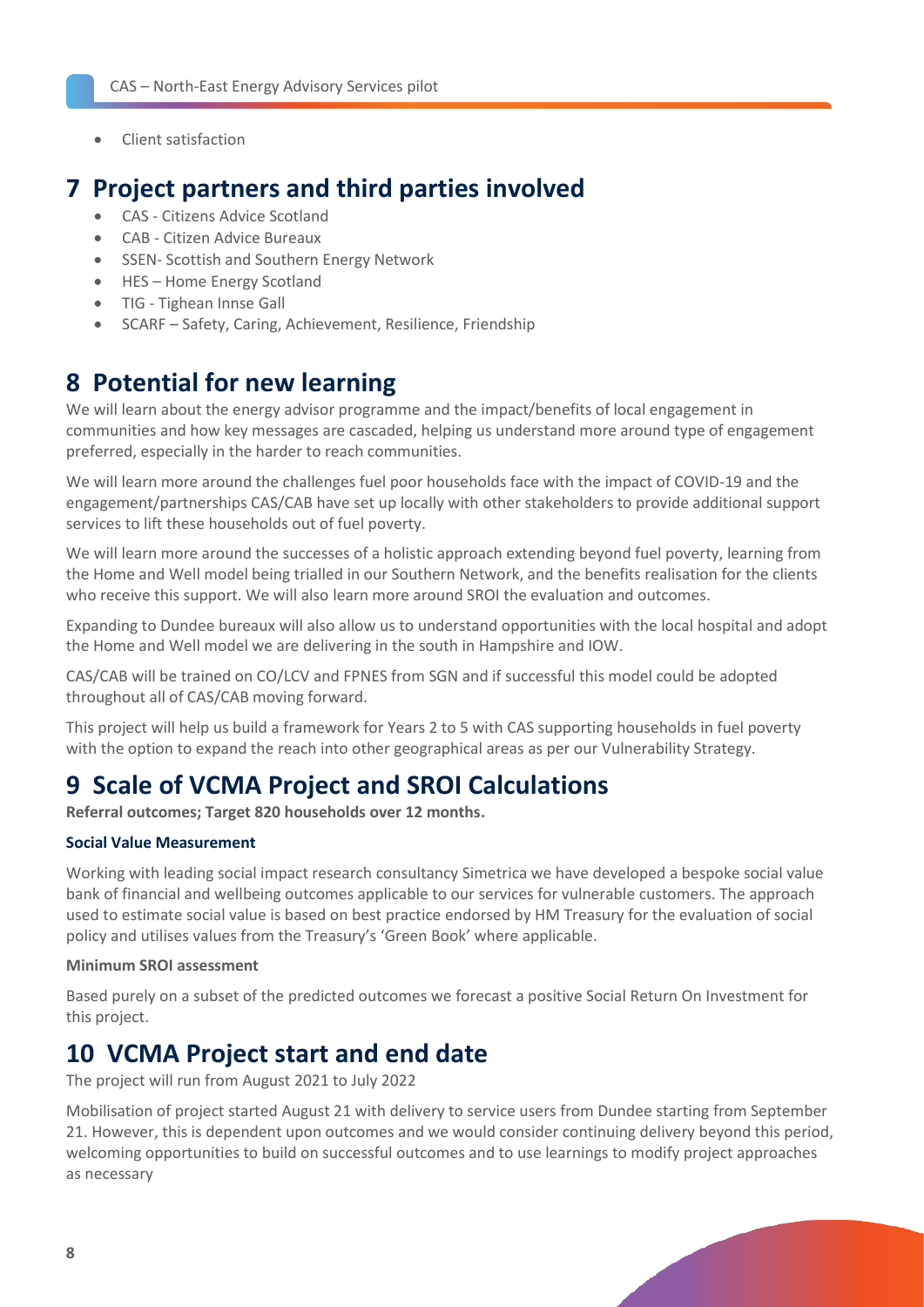• Client satisfaction

### <span id="page-7-0"></span>**7 Project partners and third parties involved**

- CAS Citizens Advice Scotland
- CAB Citizen Advice Bureaux
- SSEN- Scottish and Southern Energy Network
- HES Home Energy Scotland
- TIG Tighean Innse Gall
- SCARF Safety, Caring, Achievement, Resilience, Friendship

## <span id="page-7-1"></span>**8 Potential for new learning**

We will learn about the energy advisor programme and the impact/benefits of local engagement in communities and how key messages are cascaded, helping us understand more around type of engagement preferred, especially in the harder to reach communities.

We will learn more around the challenges fuel poor households face with the impact of COVID-19 and the engagement/partnerships CAS/CAB have set up locally with other stakeholders to provide additional support services to lift these households out of fuel poverty.

We will learn more around the successes of a holistic approach extending beyond fuel poverty, learning from the Home and Well model being trialled in our Southern Network, and the benefits realisation for the clients who receive this support. We will also learn more around SROI the evaluation and outcomes.

Expanding to Dundee bureaux will also allow us to understand opportunities with the local hospital and adopt the Home and Well model we are delivering in the south in Hampshire and IOW.

CAS/CAB will be trained on CO/LCV and FPNES from SGN and if successful this model could be adopted throughout all of CAS/CAB moving forward.

This project will help us build a framework for Years 2 to 5 with CAS supporting households in fuel poverty with the option to expand the reach into other geographical areas as per our Vulnerability Strategy.

# <span id="page-7-2"></span>**9 Scale of VCMA Project and SROI Calculations**

**Referral outcomes; Target 820 households over 12 months.**

#### **Social Value Measurement**

Working with leading social impact research consultancy Simetrica we have developed a bespoke social value bank of financial and wellbeing outcomes applicable to our services for vulnerable customers. The approach used to estimate social value is based on best practice endorsed by HM Treasury for the evaluation of social policy and utilises values from the Treasury's 'Green Book' where applicable.

#### **Minimum SROI assessment**

Based purely on a subset of the predicted outcomes we forecast a positive Social Return On Investment for this project.

# <span id="page-7-3"></span>**10 VCMA Project start and end date**

The project will run from August 2021 to July 2022

Mobilisation of project started August 21 with delivery to service users from Dundee starting from September 21. However, this is dependent upon outcomes and we would consider continuing delivery beyond this period, welcoming opportunities to build on successful outcomes and to use learnings to modify project approaches as necessary